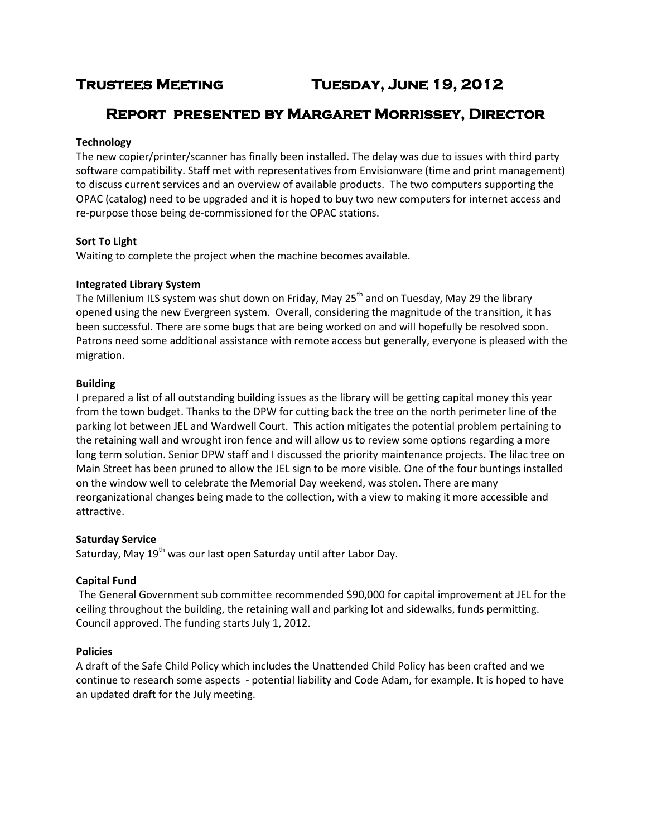# **Trustees Meeting Tuesday, June 19, 2012**

# **Report presented by Margaret Morrissey, Director**

# **Technology**

The new copier/printer/scanner has finally been installed. The delay was due to issues with third party software compatibility. Staff met with representatives from Envisionware (time and print management) to discuss current services and an overview of available products. The two computers supporting the OPAC (catalog) need to be upgraded and it is hoped to buy two new computers for internet access and re-purpose those being de-commissioned for the OPAC stations.

# **Sort To Light**

Waiting to complete the project when the machine becomes available.

# **Integrated Library System**

The Millenium ILS system was shut down on Friday, May  $25<sup>th</sup>$  and on Tuesday, May 29 the library opened using the new Evergreen system. Overall, considering the magnitude of the transition, it has been successful. There are some bugs that are being worked on and will hopefully be resolved soon. Patrons need some additional assistance with remote access but generally, everyone is pleased with the migration.

### **Building**

I prepared a list of all outstanding building issues as the library will be getting capital money this year from the town budget. Thanks to the DPW for cutting back the tree on the north perimeter line of the parking lot between JEL and Wardwell Court. This action mitigates the potential problem pertaining to the retaining wall and wrought iron fence and will allow us to review some options regarding a more long term solution. Senior DPW staff and I discussed the priority maintenance projects. The lilac tree on Main Street has been pruned to allow the JEL sign to be more visible. One of the four buntings installed on the window well to celebrate the Memorial Day weekend, was stolen. There are many reorganizational changes being made to the collection, with a view to making it more accessible and attractive.

# **Saturday Service**

Saturday, May 19<sup>th</sup> was our last open Saturday until after Labor Day.

# **Capital Fund**

The General Government sub committee recommended \$90,000 for capital improvement at JEL for the ceiling throughout the building, the retaining wall and parking lot and sidewalks, funds permitting. Council approved. The funding starts July 1, 2012.

# **Policies**

A draft of the Safe Child Policy which includes the Unattended Child Policy has been crafted and we continue to research some aspects - potential liability and Code Adam, for example. It is hoped to have an updated draft for the July meeting.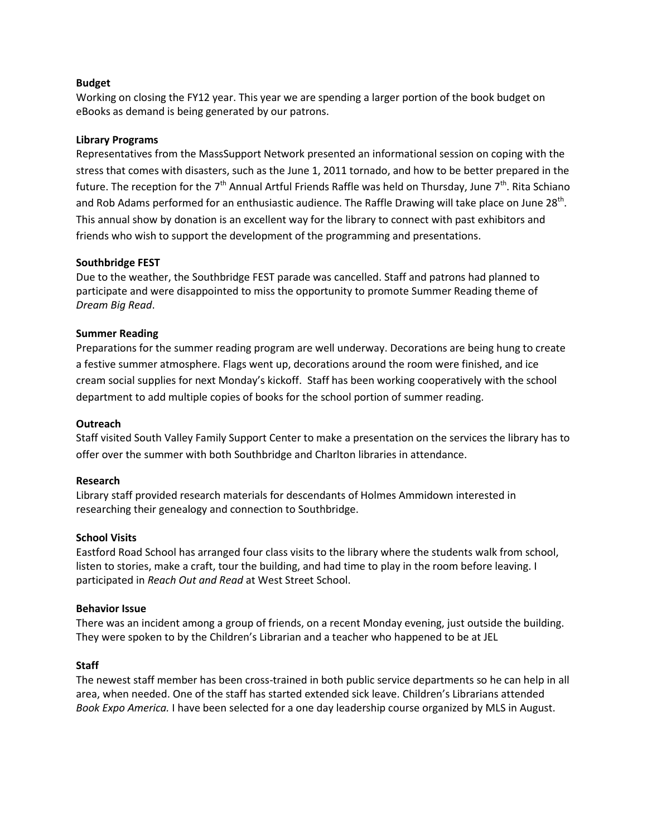## **Budget**

Working on closing the FY12 year. This year we are spending a larger portion of the book budget on eBooks as demand is being generated by our patrons.

### **Library Programs**

Representatives from the MassSupport Network presented an informational session on coping with the stress that comes with disasters, such as the June 1, 2011 tornado, and how to be better prepared in the future. The reception for the 7<sup>th</sup> Annual Artful Friends Raffle was held on Thursday, June 7<sup>th</sup>. Rita Schiano and Rob Adams performed for an enthusiastic audience. The Raffle Drawing will take place on June 28<sup>th</sup>. This annual show by donation is an excellent way for the library to connect with past exhibitors and friends who wish to support the development of the programming and presentations.

### **Southbridge FEST**

Due to the weather, the Southbridge FEST parade was cancelled. Staff and patrons had planned to participate and were disappointed to miss the opportunity to promote Summer Reading theme of *Dream Big Read*.

### **Summer Reading**

Preparations for the summer reading program are well underway. Decorations are being hung to create a festive summer atmosphere. Flags went up, decorations around the room were finished, and ice cream social supplies for next Monday's kickoff. Staff has been working cooperatively with the school department to add multiple copies of books for the school portion of summer reading.

#### **Outreach**

Staff visited South Valley Family Support Center to make a presentation on the services the library has to offer over the summer with both Southbridge and Charlton libraries in attendance.

#### **Research**

Library staff provided research materials for descendants of Holmes Ammidown interested in researching their genealogy and connection to Southbridge.

#### **School Visits**

Eastford Road School has arranged four class visits to the library where the students walk from school, listen to stories, make a craft, tour the building, and had time to play in the room before leaving. I participated in *Reach Out and Read* at West Street School.

#### **Behavior Issue**

There was an incident among a group of friends, on a recent Monday evening, just outside the building. They were spoken to by the Children's Librarian and a teacher who happened to be at JEL

#### **Staff**

The newest staff member has been cross-trained in both public service departments so he can help in all area, when needed. One of the staff has started extended sick leave. Children's Librarians attended *Book Expo America.* I have been selected for a one day leadership course organized by MLS in August.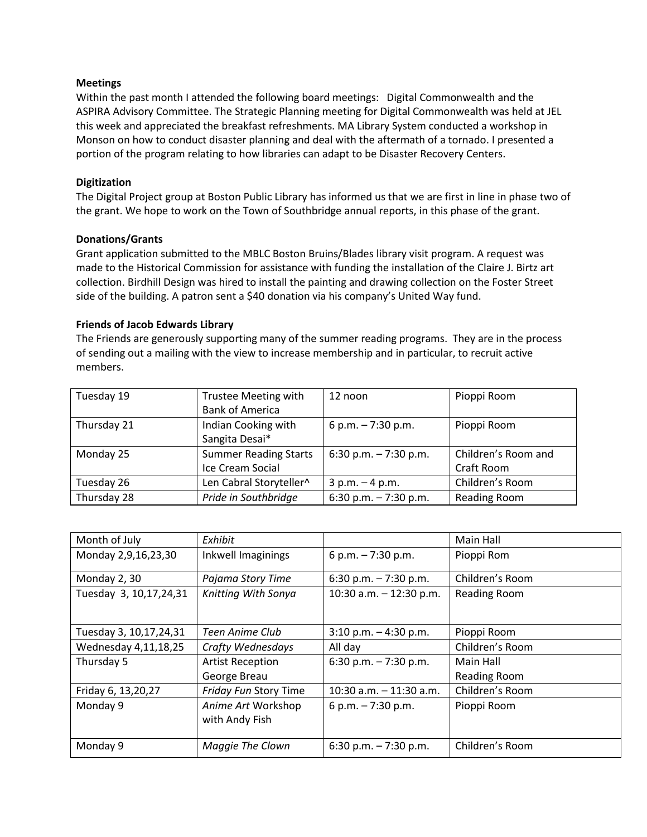# **Meetings**

Within the past month I attended the following board meetings: Digital Commonwealth and the ASPIRA Advisory Committee. The Strategic Planning meeting for Digital Commonwealth was held at JEL this week and appreciated the breakfast refreshments. MA Library System conducted a workshop in Monson on how to conduct disaster planning and deal with the aftermath of a tornado. I presented a portion of the program relating to how libraries can adapt to be Disaster Recovery Centers.

# **Digitization**

The Digital Project group at Boston Public Library has informed us that we are first in line in phase two of the grant. We hope to work on the Town of Southbridge annual reports, in this phase of the grant.

# **Donations/Grants**

Grant application submitted to the MBLC Boston Bruins/Blades library visit program. A request was made to the Historical Commission for assistance with funding the installation of the Claire J. Birtz art collection. Birdhill Design was hired to install the painting and drawing collection on the Foster Street side of the building. A patron sent a \$40 donation via his company's United Way fund.

# **Friends of Jacob Edwards Library**

The Friends are generously supporting many of the summer reading programs. They are in the process of sending out a mailing with the view to increase membership and in particular, to recruit active members.

| Tuesday 19  | Trustee Meeting with         | 12 noon                | Pioppi Room         |
|-------------|------------------------------|------------------------|---------------------|
|             | <b>Bank of America</b>       |                        |                     |
| Thursday 21 | Indian Cooking with          | 6 p.m. $-7:30$ p.m.    | Pioppi Room         |
|             | Sangita Desai*               |                        |                     |
| Monday 25   | <b>Summer Reading Starts</b> | 6:30 p.m. $-7:30$ p.m. | Children's Room and |
|             | Ice Cream Social             |                        | Craft Room          |
| Tuesday 26  | Len Cabral Storyteller^      | $3 p.m. - 4 p.m.$      | Children's Room     |
| Thursday 28 | Pride in Southbridge         | 6:30 p.m. $-7:30$ p.m. | Reading Room        |

| Month of July             | Exhibit                              |                           | Main Hall           |
|---------------------------|--------------------------------------|---------------------------|---------------------|
| Monday 2,9,16,23,30       | Inkwell Imaginings                   | 6 p.m. $-7:30$ p.m.       | Pioppi Rom          |
| Monday 2, 30              | Pajama Story Time                    | 6:30 p.m. $-7:30$ p.m.    | Children's Room     |
| Tuesday 3, 10, 17, 24, 31 | Knitting With Sonya                  | 10:30 a.m. $-$ 12:30 p.m. | <b>Reading Room</b> |
| Tuesday 3, 10, 17, 24, 31 | Teen Anime Club                      | $3:10$ p.m. $-4:30$ p.m.  | Pioppi Room         |
| Wednesday 4,11,18,25      | Crafty Wednesdays                    | All day                   | Children's Room     |
| Thursday 5                | <b>Artist Reception</b>              | 6:30 p.m. $-7:30$ p.m.    | Main Hall           |
|                           | George Breau                         |                           | <b>Reading Room</b> |
| Friday 6, 13, 20, 27      | Friday Fun Story Time                | 10:30 a.m. $-$ 11:30 a.m. | Children's Room     |
| Monday 9                  | Anime Art Workshop<br>with Andy Fish | 6 p.m. $-7:30$ p.m.       | Pioppi Room         |
| Monday 9                  | Maggie The Clown                     | 6:30 p.m. $-7:30$ p.m.    | Children's Room     |